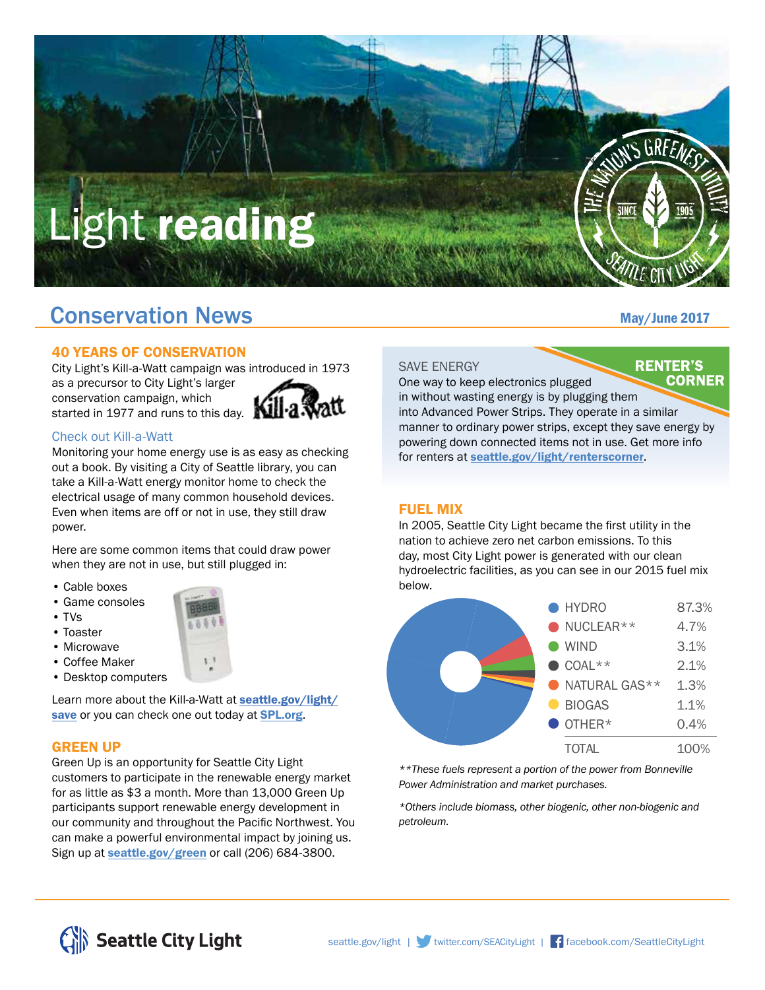

# **Conservation News** May/June 2017

#### 40 YEARS OF CONSERVATION

City Light's Kill-a-Watt campaign was introduced in 1973 as a precursor to City Light's larger conservation campaign, which started in 1977 and runs to this day.



#### Check out Kill-a-Watt

Monitoring your home energy use is as easy as checking out a book. By visiting a City of Seattle library, you can take a Kill-a-Watt energy monitor home to check the electrical usage of many common household devices. Even when items are off or not in use, they still draw power.

Here are some common items that could draw power when they are not in use, but still plugged in:

- Cable boxes
- Game consoles
- TVs
- Toaster
- Microwave
- Coffee Maker
- Desktop computers



Learn more about the Kill-a-Watt at **[seattle.gov/light/](http://www.seattle.gov/light/save)** [save](http://www.seattle.gov/light/save) or you can check one out today at **[SPL.org](http://www.spl.org)**.

### GREEN UP

Green Up is an opportunity for Seattle City Light customers to participate in the renewable energy market for as little as \$3 a month. More than 13,000 Green Up participants support renewable energy development in our community and throughout the Pacific Northwest. You can make a powerful environmental impact by joining us. Sign up at **[seattle.gov/green](http://www.seattle.gov/green)** or call (206) 684-3800.

#### SAVE ENERGY

One way to keep electronics plugged

**RENTER'S CORNER** 

in without wasting energy is by plugging them into Advanced Power Strips. They operate in a similar manner to ordinary power strips, except they save energy by powering down connected items not in use. Get more info for renters at [seattle.gov/light/renterscorner](http://www.seattle.gov/light/renterscorner).

#### FUEL MIX

In 2005, Seattle City Light became the first utility in the nation to achieve zero net carbon emissions. To this day, most City Light power is generated with our clean hydroelectric facilities, as you can see in our 2015 fuel mix below.



*\*\*These fuels represent a portion of the power from Bonneville Power Administration and market purchases.*

*\*Others include biomass, other biogenic, other non-biogenic and petroleum.*